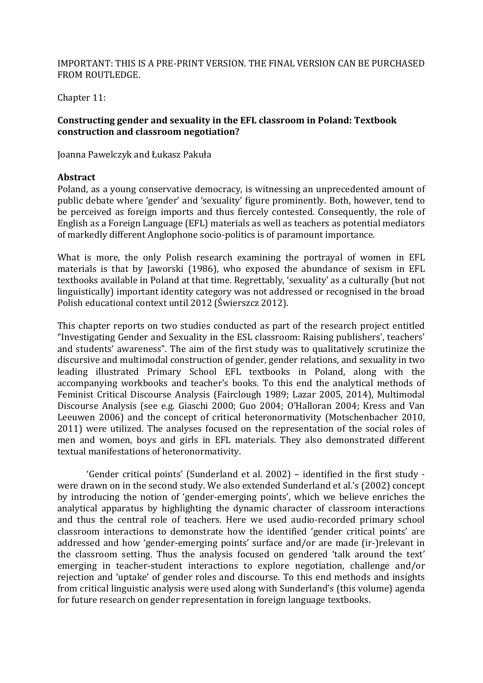## IMPORTANT: THIS IS A PRE-PRINT VERSION. THE FINAL VERSION CAN BE PURCHASED FROM ROUTLEDGE.

Chapter 11:

# **Constructing gender and sexuality in the EFL classroom in Poland: Textbook construction and classroom negotiation?**

Joanna Pawelczyk and Łukasz Pakuła

### **Abstract**

Poland, as a young conservative democracy, is witnessing an unprecedented amount of public debate where 'gender' and 'sexuality' figure prominently. Both, however, tend to be perceived as foreign imports and thus fiercely contested. Consequently, the role of English as a Foreign Language (EFL) materials as well as teachers as potential mediators of markedly different Anglophone socio-politics is of paramount importance.

What is more, the only Polish research examining the portrayal of women in EFL materials is that by Jaworski (1986), who exposed the abundance of sexism in EFL textbooks available in Poland at that time. Regrettably, 'sexuality' as a culturally (but not linguistically) important identity category was not addressed or recognised in the broad Polish educational context until 2012 (Świerszcz 2012).

This chapter reports on two studies conducted as part of the research project entitled "Investigating Gender and Sexuality in the ESL classroom: Raising publishers', teachers' and students' awareness". The aim of the first study was to qualitatively scrutinize the discursive and multimodal construction of gender, gender relations, and sexuality in two leading illustrated Primary School EFL textbooks in Poland, along with the accompanying workbooks and teacher's books. To this end the analytical methods of Feminist Critical Discourse Analysis (Fairclough 1989; Lazar 2005, 2014), Multimodal Discourse Analysis (see e.g. Giaschi 2000; Guo 2004; O'Halloran 2004; Kress and Van Leeuwen 2006) and the concept of critical heteronormativity (Motschenbacher 2010, 2011) were utilized. The analyses focused on the representation of the social roles of men and women, boys and girls in EFL materials. They also demonstrated different textual manifestations of heteronormativity.

'Gender critical points' (Sunderland et al.  $2002$ ) – identified in the first study were drawn on in the second study. We also extended Sunderland et al.'s (2002) concept by introducing the notion of 'gender-emerging points', which we believe enriches the analytical apparatus by highlighting the dynamic character of classroom interactions and thus the central role of teachers. Here we used audio-recorded primary school classroom interactions to demonstrate how the identified 'gender critical points' are addressed and how 'gender-emerging points' surface and/or are made (ir-)relevant in the classroom setting. Thus the analysis focused on gendered 'talk around the text' emerging in teacher-student interactions to explore negotiation, challenge and/or rejection and 'uptake' of gender roles and discourse. To this end methods and insights from critical linguistic analysis were used along with Sunderland's (this volume) agenda for future research on gender representation in foreign language textbooks.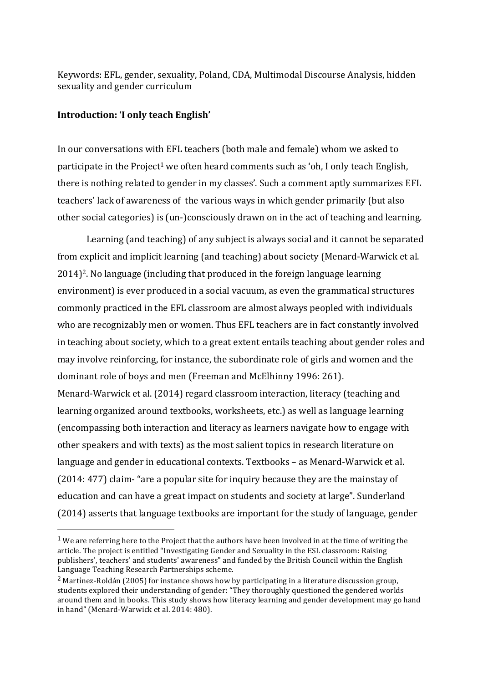Keywords: EFL, gender, sexuality, Poland, CDA, Multimodal Discourse Analysis, hidden sexuality and gender curriculum

### **Introduction: 'I only teach English'**

 

In our conversations with EFL teachers (both male and female) whom we asked to participate in the Project<sup>1</sup> we often heard comments such as 'oh, I only teach English, there is nothing related to gender in my classes'. Such a comment aptly summarizes EFL teachers' lack of awareness of the various ways in which gender primarily (but also other social categories) is (un-)consciously drawn on in the act of teaching and learning.

Learning (and teaching) of any subject is always social and it cannot be separated from explicit and implicit learning (and teaching) about society (Menard-Warwick et al. 2014)<sup>2</sup>. No language (including that produced in the foreign language learning environment) is ever produced in a social vacuum, as even the grammatical structures commonly practiced in the EFL classroom are almost always peopled with individuals who are recognizably men or women. Thus EFL teachers are in fact constantly involved in teaching about society, which to a great extent entails teaching about gender roles and may involve reinforcing, for instance, the subordinate role of girls and women and the dominant role of boys and men (Freeman and McElhinny 1996: 261). Menard-Warwick et al. (2014) regard classroom interaction, literacy (teaching and learning organized around textbooks, worksheets, etc.) as well as language learning (encompassing both interaction and literacy as learners navigate how to engage with other speakers and with texts) as the most salient topics in research literature on language and gender in educational contexts. Textbooks – as Menard-Warwick et al. (2014: 477) claim- "are a popular site for inquiry because they are the mainstay of education and can have a great impact on students and society at large". Sunderland (2014) asserts that language textbooks are important for the study of language, gender

<sup>&</sup>lt;sup>1</sup> We are referring here to the Project that the authors have been involved in at the time of writing the article. The project is entitled "Investigating Gender and Sexuality in the ESL classroom: Raising publishers', teachers' and students' awareness" and funded by the British Council within the English Language Teaching Research Partnerships scheme.

<sup>&</sup>lt;sup>2</sup> Martinez-Roldán (2005) for instance shows how by participating in a literature discussion group, students explored their understanding of gender: "They thoroughly questioned the gendered worlds around them and in books. This study shows how literacy learning and gender development may go hand in hand" (Menard-Warwick et al. 2014: 480).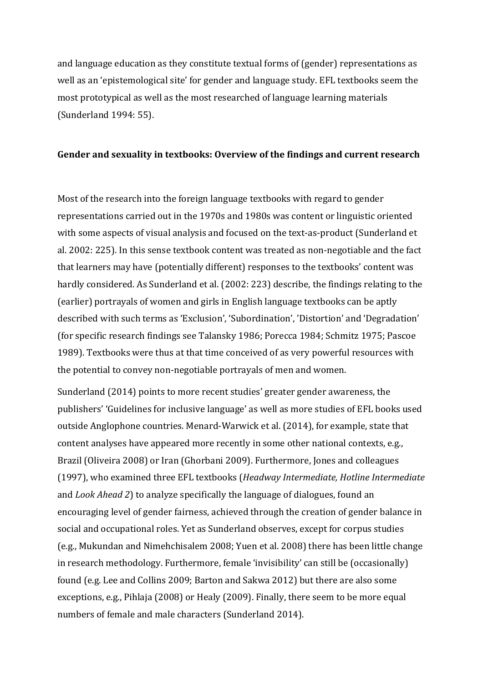and language education as they constitute textual forms of (gender) representations as well as an 'epistemological site' for gender and language study. EFL textbooks seem the most prototypical as well as the most researched of language learning materials (Sunderland 1994: 55).

### Gender and sexuality in textbooks: Overview of the findings and current research

Most of the research into the foreign language textbooks with regard to gender representations carried out in the 1970s and 1980s was content or linguistic oriented with some aspects of visual analysis and focused on the text-as-product (Sunderland et al. 2002: 225). In this sense textbook content was treated as non-negotiable and the fact that learners may have (potentially different) responses to the textbooks' content was hardly considered. As Sunderland et al. (2002: 223) describe, the findings relating to the (earlier) portrayals of women and girls in English language textbooks can be aptly described with such terms as 'Exclusion', 'Subordination', 'Distortion' and 'Degradation' (for specific research findings see Talansky 1986; Porecca 1984; Schmitz 1975; Pascoe 1989). Textbooks were thus at that time conceived of as very powerful resources with the potential to convey non-negotiable portrayals of men and women.

Sunderland (2014) points to more recent studies' greater gender awareness, the publishers' 'Guidelines for inclusive language' as well as more studies of EFL books used outside Anglophone countries. Menard-Warwick et al. (2014), for example, state that content analyses have appeared more recently in some other national contexts, e.g., Brazil (Oliveira 2008) or Iran (Ghorbani 2009). Furthermore, Jones and colleagues (1997), who examined three EFL textbooks (*Headway Intermediate, Hotline Intermediate* and *Look Ahead 2*) to analyze specifically the language of dialogues, found an encouraging level of gender fairness, achieved through the creation of gender balance in social and occupational roles. Yet as Sunderland observes, except for corpus studies (e.g., Mukundan and Nimehchisalem 2008; Yuen et al. 2008) there has been little change in research methodology. Furthermore, female 'invisibility' can still be (occasionally) found (e.g. Lee and Collins 2009; Barton and Sakwa 2012) but there are also some exceptions, e.g., Pihlaja (2008) or Healy (2009). Finally, there seem to be more equal numbers of female and male characters (Sunderland 2014).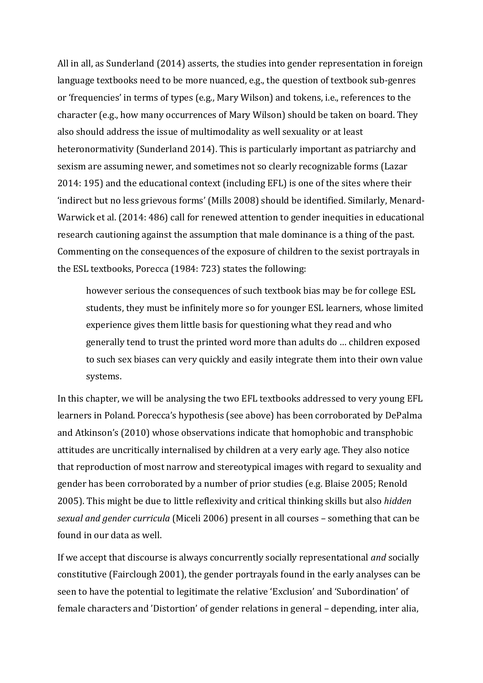All in all, as Sunderland (2014) asserts, the studies into gender representation in foreign language textbooks need to be more nuanced, e.g., the question of textbook sub-genres or 'frequencies' in terms of types (e.g., Mary Wilson) and tokens, i.e., references to the character (e.g., how many occurrences of Mary Wilson) should be taken on board. They also should address the issue of multimodality as well sexuality or at least heteronormativity (Sunderland 2014). This is particularly important as patriarchy and sexism are assuming newer, and sometimes not so clearly recognizable forms (Lazar 2014: 195) and the educational context (including EFL) is one of the sites where their 'indirect but no less grievous forms' (Mills 2008) should be identified. Similarly, Menard-Warwick et al. (2014: 486) call for renewed attention to gender inequities in educational research cautioning against the assumption that male dominance is a thing of the past. Commenting on the consequences of the exposure of children to the sexist portrayals in the ESL textbooks, Porecca (1984: 723) states the following:

however serious the consequences of such textbook bias may be for college ESL students, they must be infinitely more so for younger ESL learners, whose limited experience gives them little basis for questioning what they read and who generally tend to trust the printed word more than adults do ... children exposed to such sex biases can very quickly and easily integrate them into their own value systems.

In this chapter, we will be analysing the two EFL textbooks addressed to very young EFL learners in Poland. Porecca's hypothesis (see above) has been corroborated by DePalma and Atkinson's (2010) whose observations indicate that homophobic and transphobic attitudes are uncritically internalised by children at a very early age. They also notice that reproduction of most narrow and stereotypical images with regard to sexuality and gender has been corroborated by a number of prior studies (e.g. Blaise 2005; Renold 2005). This might be due to little reflexivity and critical thinking skills but also *hidden sexual and gender curricula* (Miceli 2006) present in all courses - something that can be found in our data as well.

If we accept that discourse is always concurrently socially representational *and* socially constitutive (Fairclough 2001), the gender portrayals found in the early analyses can be seen to have the potential to legitimate the relative 'Exclusion' and 'Subordination' of female characters and 'Distortion' of gender relations in general – depending, inter alia,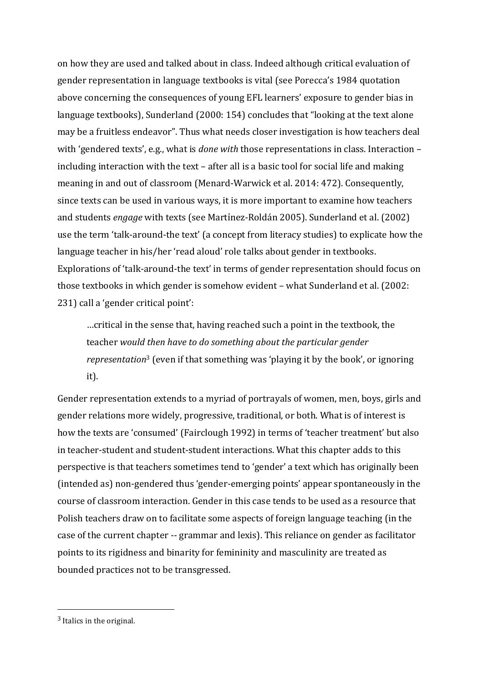on how they are used and talked about in class. Indeed although critical evaluation of gender representation in language textbooks is vital (see Porecca's 1984 quotation above concerning the consequences of young EFL learners' exposure to gender bias in language textbooks), Sunderland (2000: 154) concludes that "looking at the text alone may be a fruitless endeavor". Thus what needs closer investigation is how teachers deal with 'gendered texts', e.g., what is *done with* those representations in class. Interaction including interaction with the text – after all is a basic tool for social life and making meaning in and out of classroom (Menard-Warwick et al. 2014: 472). Consequently, since texts can be used in various ways, it is more important to examine how teachers and students *engage* with texts (see Martinez-Roldán 2005). Sunderland et al. (2002) use the term 'talk-around-the text' (a concept from literacy studies) to explicate how the language teacher in his/her 'read aloud' role talks about gender in textbooks. Explorations of 'talk-around-the text' in terms of gender representation should focus on those textbooks in which gender is somehow evident – what Sunderland et al. (2002: 231) call a 'gender critical point':

...critical in the sense that, having reached such a point in the textbook, the teacher would then have to do something about the particular gender *representation*<sup>3</sup> (even if that something was 'playing it by the book', or ignoring it).

Gender representation extends to a myriad of portrayals of women, men, boys, girls and gender relations more widely, progressive, traditional, or both. What is of interest is how the texts are 'consumed' (Fairclough 1992) in terms of 'teacher treatment' but also in teacher-student and student-student interactions. What this chapter adds to this perspective is that teachers sometimes tend to 'gender' a text which has originally been (intended as) non-gendered thus 'gender-emerging points' appear spontaneously in the course of classroom interaction. Gender in this case tends to be used as a resource that Polish teachers draw on to facilitate some aspects of foreign language teaching (in the case of the current chapter -- grammar and lexis). This reliance on gender as facilitator points to its rigidness and binarity for femininity and masculinity are treated as bounded practices not to be transgressed.

 $3$  Italics in the original.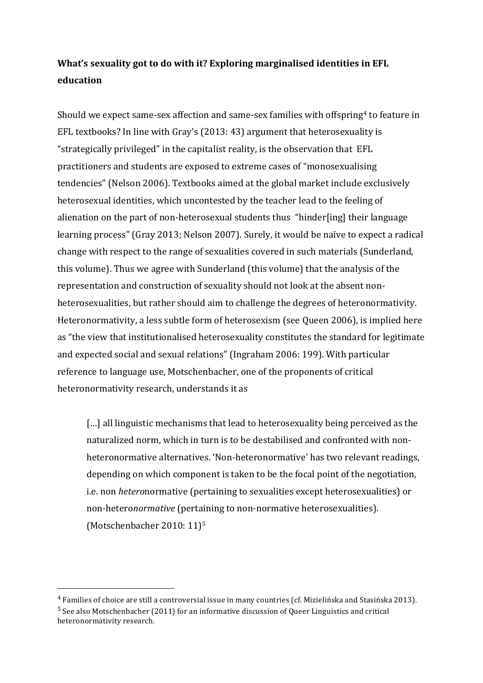# **What's sexuality got to do with it? Exploring marginalised identities in EFL education**

Should we expect same-sex affection and same-sex families with offspring<sup>4</sup> to feature in EFL textbooks? In line with Gray's (2013: 43) argument that heterosexuality is "strategically privileged" in the capitalist reality, is the observation that EFL practitioners and students are exposed to extreme cases of "monosexualising" tendencies" (Nelson 2006). Textbooks aimed at the global market include exclusively heterosexual identities, which uncontested by the teacher lead to the feeling of alienation on the part of non-heterosexual students thus "hinder[ing] their language learning process" (Gray 2013; Nelson 2007). Surely, it would be naïve to expect a radical change with respect to the range of sexualities covered in such materials (Sunderland, this volume). Thus we agree with Sunderland (this volume) that the analysis of the representation and construction of sexuality should not look at the absent nonheterosexualities, but rather should aim to challenge the degrees of heteronormativity. Heteronormativity, a less subtle form of heterosexism (see Queen 2006), is implied here as "the view that institutionalised heterosexuality constitutes the standard for legitimate and expected social and sexual relations" (Ingraham 2006: 199). With particular reference to language use, Motschenbacher, one of the proponents of critical heteronormativity research, understands it as

 $\left[\ldots\right]$  all linguistic mechanisms that lead to heterosexuality being perceived as the naturalized norm, which in turn is to be destabilised and confronted with nonheteronormative alternatives. 'Non-heteronormative' has two relevant readings, depending on which component is taken to be the focal point of the negotiation, i.e. non *hetero*normative (pertaining to sexualities except heterosexualities) or non-heteronormative (pertaining to non-normative heterosexualities). (Motschenbacher  $2010:11$ )<sup>5</sup>

 $4$  Families of choice are still a controversial issue in many countries (cf. Mizielińska and Stasińska 2013).  $<sup>5</sup>$  See also Motschenbacher (2011) for an informative discussion of Queer Linguistics and critical</sup> heteronormativity research.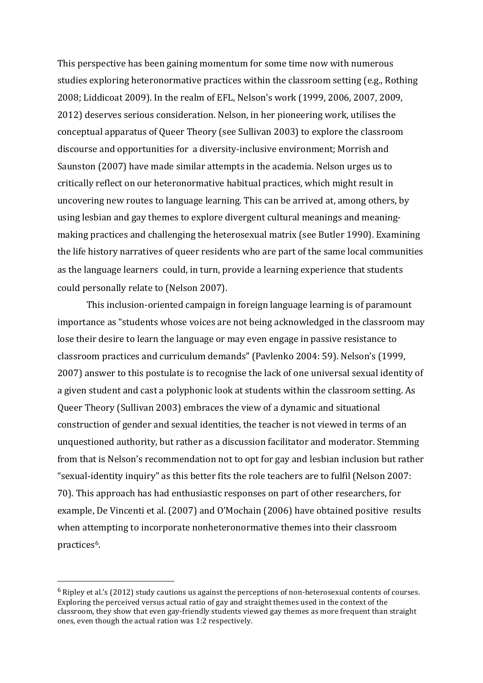This perspective has been gaining momentum for some time now with numerous studies exploring heteronormative practices within the classroom setting (e.g., Rothing 2008; Liddicoat 2009). In the realm of EFL, Nelson's work (1999, 2006, 2007, 2009, 2012) deserves serious consideration. Nelson, in her pioneering work, utilises the conceptual apparatus of Queer Theory (see Sullivan 2003) to explore the classroom discourse and opportunities for a diversity-inclusive environment; Morrish and Saunston (2007) have made similar attempts in the academia. Nelson urges us to critically reflect on our heteronormative habitual practices, which might result in uncovering new routes to language learning. This can be arrived at, among others, by using lesbian and gay themes to explore divergent cultural meanings and meaningmaking practices and challenging the heterosexual matrix (see Butler 1990). Examining the life history narratives of queer residents who are part of the same local communities as the language learners could, in turn, provide a learning experience that students could personally relate to (Nelson 2007).

This inclusion-oriented campaign in foreign language learning is of paramount importance as "students whose voices are not being acknowledged in the classroom may lose their desire to learn the language or may even engage in passive resistance to classroom practices and curriculum demands" (Pavlenko 2004: 59). Nelson's (1999, 2007) answer to this postulate is to recognise the lack of one universal sexual identity of a given student and cast a polyphonic look at students within the classroom setting. As Queer Theory (Sullivan 2003) embraces the view of a dynamic and situational construction of gender and sexual identities, the teacher is not viewed in terms of an unquestioned authority, but rather as a discussion facilitator and moderator. Stemming from that is Nelson's recommendation not to opt for gay and lesbian inclusion but rather "sexual-identity inquiry" as this better fits the role teachers are to fulfil (Nelson 2007: 70). This approach has had enthusiastic responses on part of other researchers, for example, De Vincenti et al. (2007) and O'Mochain (2006) have obtained positive results when attempting to incorporate nonheteronormative themes into their classroom practices<sup>6</sup>.

 $6$  Ripley et al.'s (2012) study cautions us against the perceptions of non-heterosexual contents of courses. Exploring the perceived versus actual ratio of gay and straight themes used in the context of the classroom, they show that even gay-friendly students viewed gay themes as more frequent than straight ones, even though the actual ration was 1:2 respectively.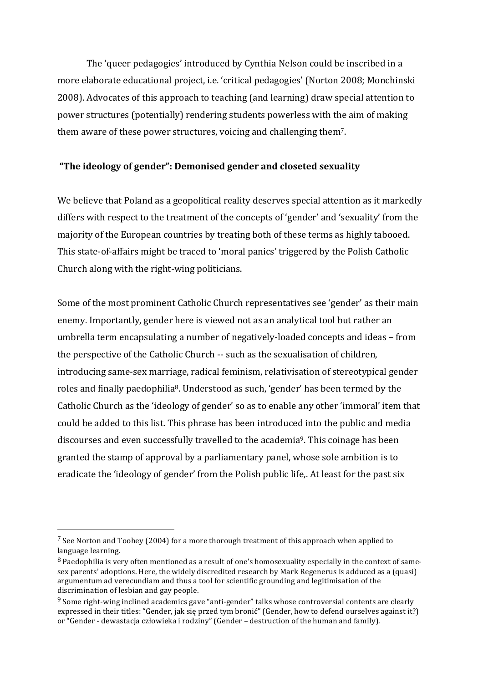The 'queer pedagogies' introduced by Cynthia Nelson could be inscribed in a more elaborate educational project, i.e. 'critical pedagogies' (Norton 2008; Monchinski 2008). Advocates of this approach to teaching (and learning) draw special attention to power structures (potentially) rendering students powerless with the aim of making them aware of these power structures, voicing and challenging them<sup>7</sup>.

# "The ideology of gender": Demonised gender and closeted sexuality

We believe that Poland as a geopolitical reality deserves special attention as it markedly differs with respect to the treatment of the concepts of 'gender' and 'sexuality' from the majority of the European countries by treating both of these terms as highly tabooed. This state-of-affairs might be traced to 'moral panics' triggered by the Polish Catholic Church along with the right-wing politicians.

Some of the most prominent Catholic Church representatives see 'gender' as their main enemy. Importantly, gender here is viewed not as an analytical tool but rather an umbrella term encapsulating a number of negatively-loaded concepts and ideas – from the perspective of the Catholic Church -- such as the sexualisation of children, introducing same-sex marriage, radical feminism, relativisation of stereotypical gender roles and finally paedophilia<sup>8</sup>. Understood as such, 'gender' has been termed by the Catholic Church as the 'ideology of gender' so as to enable any other 'immoral' item that could be added to this list. This phrase has been introduced into the public and media discourses and even successfully travelled to the academia<sup>9</sup>. This coinage has been granted the stamp of approval by a parliamentary panel, whose sole ambition is to eradicate the 'ideology of gender' from the Polish public life,. At least for the past six

 $7$  See Norton and Toohey (2004) for a more thorough treatment of this approach when applied to language learning.

 $8$  Paedophilia is very often mentioned as a result of one's homosexuality especially in the context of samesex parents' adoptions. Here, the widely discredited research by Mark Regenerus is adduced as a (quasi) argumentum ad verecundiam and thus a tool for scientific grounding and legitimisation of the discrimination of lesbian and gay people.

 $9$  Some right-wing inclined academics gave "anti-gender" talks whose controversial contents are clearly expressed in their titles: "Gender, jak sie przed tym bronić" (Gender, how to defend ourselves against it?) or "Gender - dewastacja człowieka i rodziny" (Gender – destruction of the human and family).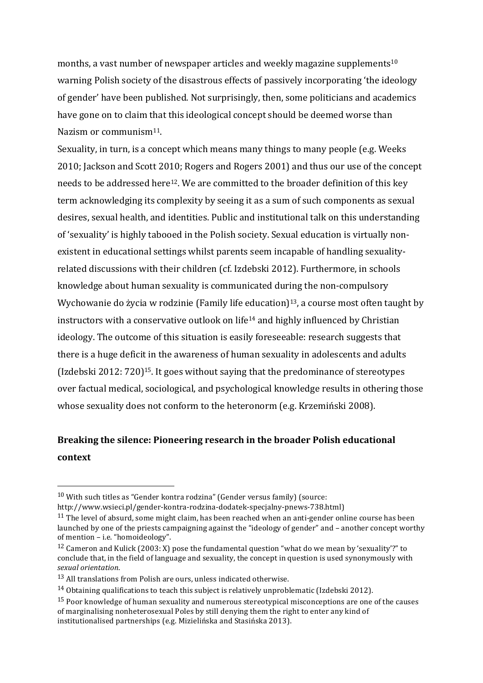months, a vast number of newspaper articles and weekly magazine supplements<sup>10</sup> warning Polish society of the disastrous effects of passively incorporating 'the ideology of gender' have been published. Not surprisingly, then, some politicians and academics have gone on to claim that this ideological concept should be deemed worse than Nazism or communism<sup>11</sup>.

Sexuality, in turn, is a concept which means many things to many people (e.g. Weeks 2010; Jackson and Scott 2010; Rogers and Rogers 2001) and thus our use of the concept needs to be addressed here<sup>12</sup>. We are committed to the broader definition of this key term acknowledging its complexity by seeing it as a sum of such components as sexual desires, sexual health, and identities. Public and institutional talk on this understanding of 'sexuality' is highly tabooed in the Polish society. Sexual education is virtually nonexistent in educational settings whilst parents seem incapable of handling sexualityrelated discussions with their children (cf. Izdebski 2012). Furthermore, in schools knowledge about human sexuality is communicated during the non-compulsory Wychowanie do życia w rodzinie (Family life education)<sup>13</sup>, a course most often taught by instructors with a conservative outlook on life<sup>14</sup> and highly influenced by Christian ideology. The outcome of this situation is easily foreseeable: research suggests that there is a huge deficit in the awareness of human sexuality in adolescents and adults (Izdebski 2012:  $720$ )<sup>15</sup>. It goes without saying that the predominance of stereotypes over factual medical, sociological, and psychological knowledge results in othering those whose sexuality does not conform to the heteronorm (e.g. Krzemiński 2008).

# **Breaking the silence: Pioneering research in the broader Polish educational context**

 $10$  With such titles as "Gender kontra rodzina" (Gender versus family) (source:

http://www.wsieci.pl/gender-kontra-rodzina-dodatek-specjalny-pnews-738.html)

 $11$  The level of absurd, some might claim, has been reached when an anti-gender online course has been launched by one of the priests campaigning against the "ideology of gender" and – another concept worthy of mention - i.e. "homoideology".

<sup>&</sup>lt;sup>12</sup> Cameron and Kulick (2003: X) pose the fundamental question "what do we mean by 'sexuality'?" to conclude that, in the field of language and sexuality, the concept in question is used synonymously with *sexual orientation*.

 $13$  All translations from Polish are ours, unless indicated otherwise.

 $14$  Obtaining qualifications to teach this subject is relatively unproblematic (Izdebski 2012).

 $15$  Poor knowledge of human sexuality and numerous stereotypical misconceptions are one of the causes of marginalising nonheterosexual Poles by still denying them the right to enter any kind of institutionalised partnerships (e.g. Mizielińska and Stasińska 2013).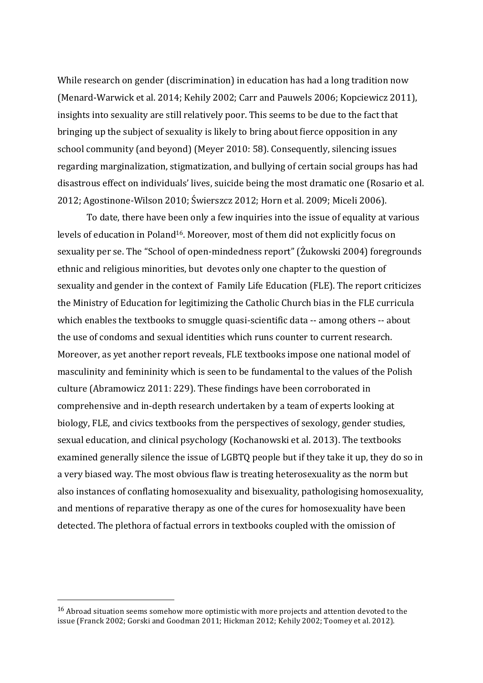While research on gender (discrimination) in education has had a long tradition now (Menard-Warwick et al. 2014; Kehily 2002; Carr and Pauwels 2006; Kopciewicz 2011), insights into sexuality are still relatively poor. This seems to be due to the fact that bringing up the subject of sexuality is likely to bring about fierce opposition in any school community (and beyond) (Meyer 2010: 58). Consequently, silencing issues regarding marginalization, stigmatization, and bullying of certain social groups has had disastrous effect on individuals' lives, suicide being the most dramatic one (Rosario et al. 2012; Agostinone-Wilson 2010; Świerszcz 2012; Horn et al. 2009; Miceli 2006).

To date, there have been only a few inquiries into the issue of equality at various levels of education in Poland<sup>16</sup>. Moreover, most of them did not explicitly focus on sexuality per se. The "School of open-mindedness report" (Żukowski 2004) foregrounds ethnic and religious minorities, but devotes only one chapter to the question of sexuality and gender in the context of Family Life Education (FLE). The report criticizes the Ministry of Education for legitimizing the Catholic Church bias in the FLE curricula which enables the textbooks to smuggle quasi-scientific data -- among others -- about the use of condoms and sexual identities which runs counter to current research. Moreover, as yet another report reveals, FLE textbooks impose one national model of masculinity and femininity which is seen to be fundamental to the values of the Polish culture (Abramowicz 2011: 229). These findings have been corroborated in comprehensive and in-depth research undertaken by a team of experts looking at biology, FLE, and civics textbooks from the perspectives of sexology, gender studies, sexual education, and clinical psychology (Kochanowski et al. 2013). The textbooks examined generally silence the issue of LGBTQ people but if they take it up, they do so in a very biased way. The most obvious flaw is treating heterosexuality as the norm but also instances of conflating homosexuality and bisexuality, pathologising homosexuality, and mentions of reparative therapy as one of the cures for homosexuality have been detected. The plethora of factual errors in textbooks coupled with the omission of

 $16$  Abroad situation seems somehow more optimistic with more projects and attention devoted to the issue (Franck 2002; Gorski and Goodman  $2011$ ; Hickman 2012; Kehily 2002; Toomey et al. 2012).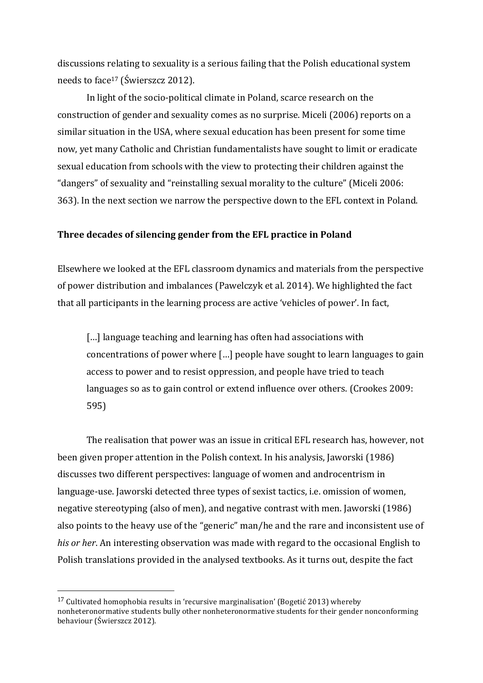discussions relating to sexuality is a serious failing that the Polish educational system needs to face<sup>17</sup> (Świerszcz 2012).

In light of the socio-political climate in Poland, scarce research on the construction of gender and sexuality comes as no surprise. Miceli (2006) reports on a similar situation in the USA, where sexual education has been present for some time now, yet many Catholic and Christian fundamentalists have sought to limit or eradicate sexual education from schools with the view to protecting their children against the "dangers" of sexuality and "reinstalling sexual morality to the culture" (Miceli 2006: 363). In the next section we narrow the perspective down to the EFL context in Poland.

### **Three decades of silencing gender from the EFL practice in Poland**

Elsewhere we looked at the EFL classroom dynamics and materials from the perspective of power distribution and imbalances (Pawelczyk et al. 2014). We highlighted the fact that all participants in the learning process are active 'vehicles of power'. In fact,

[...] language teaching and learning has often had associations with concentrations of power where [...] people have sought to learn languages to gain access to power and to resist oppression, and people have tried to teach languages so as to gain control or extend influence over others. (Crookes 2009: 595)

The realisation that power was an issue in critical EFL research has, however, not been given proper attention in the Polish context. In his analysis, Jaworski (1986) discusses two different perspectives: language of women and androcentrism in language-use. Jaworski detected three types of sexist tactics, i.e. omission of women, negative stereotyping (also of men), and negative contrast with men. Jaworski (1986) also points to the heavy use of the "generic" man/he and the rare and inconsistent use of *his or her*. An interesting observation was made with regard to the occasional English to Polish translations provided in the analysed textbooks. As it turns out, despite the fact

 $17$  Cultivated homophobia results in 'recursive marginalisation' (Bogetić 2013) whereby nonheteronormative students bully other nonheteronormative students for their gender nonconforming behaviour (Świerszcz 2012).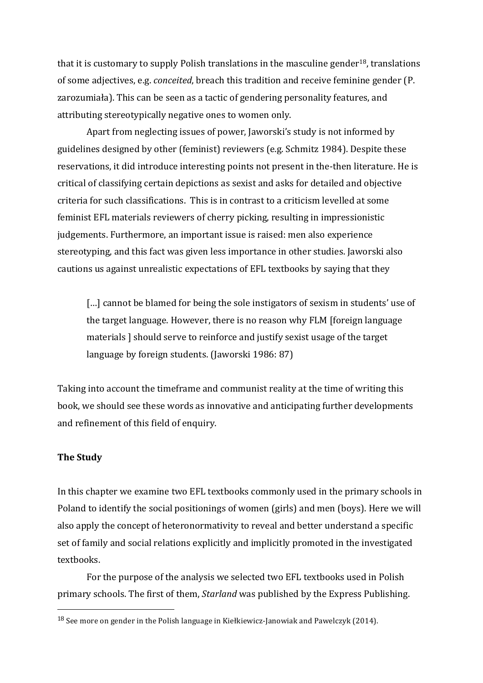that it is customary to supply Polish translations in the masculine gender<sup>18</sup>, translations of some adjectives, e.g. *conceited*, breach this tradition and receive feminine gender (P. zarozumiała). This can be seen as a tactic of gendering personality features, and attributing stereotypically negative ones to women only.

Apart from neglecting issues of power, Jaworski's study is not informed by guidelines designed by other (feminist) reviewers (e.g. Schmitz 1984). Despite these reservations, it did introduce interesting points not present in the-then literature. He is critical of classifying certain depictions as sexist and asks for detailed and objective criteria for such classifications. This is in contrast to a criticism levelled at some feminist EFL materials reviewers of cherry picking, resulting in impressionistic judgements. Furthermore, an important issue is raised: men also experience stereotyping, and this fact was given less importance in other studies. Jaworski also cautions us against unrealistic expectations of EFL textbooks by saying that they

[...] cannot be blamed for being the sole instigators of sexism in students' use of the target language. However, there is no reason why FLM [foreign language materials I should serve to reinforce and justify sexist usage of the target language by foreign students. (Jaworski 1986: 87)

Taking into account the timeframe and communist reality at the time of writing this book, we should see these words as innovative and anticipating further developments and refinement of this field of enquiry.

# **The Study**

 

In this chapter we examine two EFL textbooks commonly used in the primary schools in Poland to identify the social positionings of women (girls) and men (boys). Here we will also apply the concept of heteronormativity to reveal and better understand a specific set of family and social relations explicitly and implicitly promoted in the investigated textbooks. 

For the purpose of the analysis we selected two EFL textbooks used in Polish primary schools. The first of them, *Starland* was published by the Express Publishing.

 $18$  See more on gender in the Polish language in Kiełkiewicz-Janowiak and Pawelczyk (2014).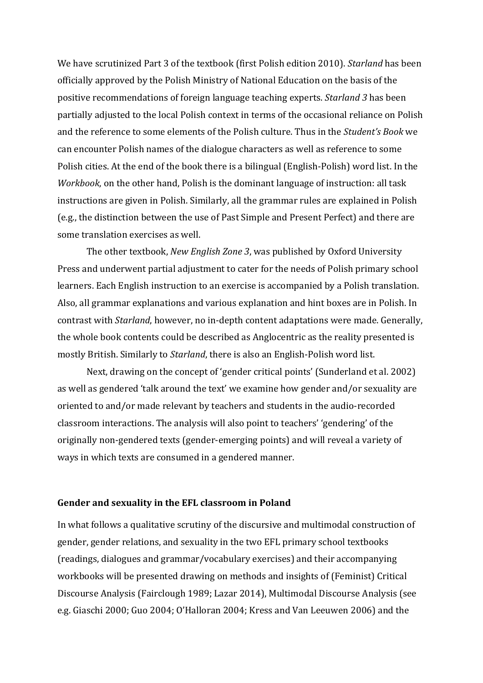We have scrutinized Part 3 of the textbook (first Polish edition 2010). *Starland* has been officially approved by the Polish Ministry of National Education on the basis of the positive recommendations of foreign language teaching experts. *Starland 3* has been partially adjusted to the local Polish context in terms of the occasional reliance on Polish and the reference to some elements of the Polish culture. Thus in the *Student's Book* we can encounter Polish names of the dialogue characters as well as reference to some Polish cities. At the end of the book there is a bilingual (English-Polish) word list. In the *Workbook*, on the other hand, Polish is the dominant language of instruction: all task instructions are given in Polish. Similarly, all the grammar rules are explained in Polish (e.g., the distinction between the use of Past Simple and Present Perfect) and there are some translation exercises as well.

The other textbook, *New English Zone 3*, was published by Oxford University Press and underwent partial adjustment to cater for the needs of Polish primary school learners. Each English instruction to an exercise is accompanied by a Polish translation. Also, all grammar explanations and various explanation and hint boxes are in Polish. In contrast with *Starland*, however, no in-depth content adaptations were made. Generally, the whole book contents could be described as Anglocentric as the reality presented is mostly British. Similarly to *Starland*, there is also an English-Polish word list.

Next, drawing on the concept of 'gender critical points' (Sunderland et al. 2002) as well as gendered 'talk around the text' we examine how gender and/or sexuality are oriented to and/or made relevant by teachers and students in the audio-recorded classroom interactions. The analysis will also point to teachers' 'gendering' of the originally non-gendered texts (gender-emerging points) and will reveal a variety of ways in which texts are consumed in a gendered manner.

### Gender and sexuality in the EFL classroom in Poland

In what follows a qualitative scrutiny of the discursive and multimodal construction of gender, gender relations, and sexuality in the two EFL primary school textbooks (readings, dialogues and grammar/vocabulary exercises) and their accompanying workbooks will be presented drawing on methods and insights of (Feminist) Critical Discourse Analysis (Fairclough 1989; Lazar 2014), Multimodal Discourse Analysis (see e.g. Giaschi 2000; Guo 2004; O'Halloran 2004; Kress and Van Leeuwen 2006) and the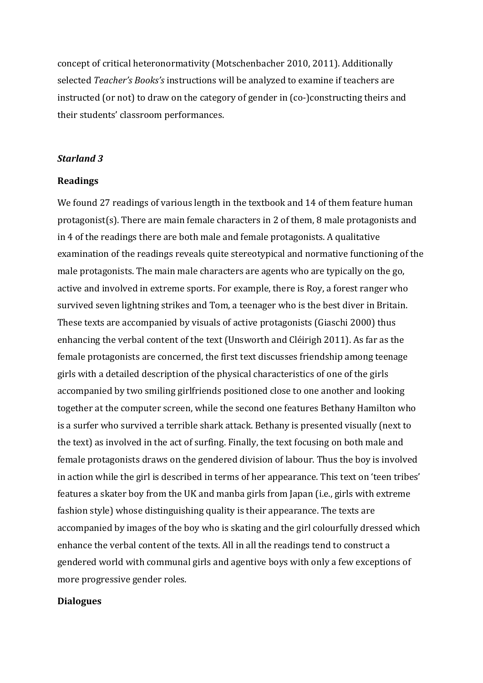concept of critical heteronormativity (Motschenbacher 2010, 2011). Additionally selected *Teacher's Books's* instructions will be analyzed to examine if teachers are instructed (or not) to draw on the category of gender in (co-)constructing theirs and their students' classroom performances.

### *Starland 3*

#### **Readings**

We found 27 readings of various length in the textbook and 14 of them feature human protagonist(s). There are main female characters in 2 of them, 8 male protagonists and in 4 of the readings there are both male and female protagonists. A qualitative examination of the readings reveals quite stereotypical and normative functioning of the male protagonists. The main male characters are agents who are typically on the go, active and involved in extreme sports. For example, there is Roy, a forest ranger who survived seven lightning strikes and Tom, a teenager who is the best diver in Britain. These texts are accompanied by visuals of active protagonists (Giaschi 2000) thus enhancing the verbal content of the text (Unsworth and Cléirigh 2011). As far as the female protagonists are concerned, the first text discusses friendship among teenage girls with a detailed description of the physical characteristics of one of the girls accompanied by two smiling girlfriends positioned close to one another and looking together at the computer screen, while the second one features Bethany Hamilton who is a surfer who survived a terrible shark attack. Bethany is presented visually (next to the text) as involved in the act of surfing. Finally, the text focusing on both male and female protagonists draws on the gendered division of labour. Thus the boy is involved in action while the girl is described in terms of her appearance. This text on 'teen tribes' features a skater boy from the UK and manba girls from Japan (i.e., girls with extreme fashion style) whose distinguishing quality is their appearance. The texts are accompanied by images of the boy who is skating and the girl colourfully dressed which enhance the verbal content of the texts. All in all the readings tend to construct a gendered world with communal girls and agentive boys with only a few exceptions of more progressive gender roles.

### **Dialogues**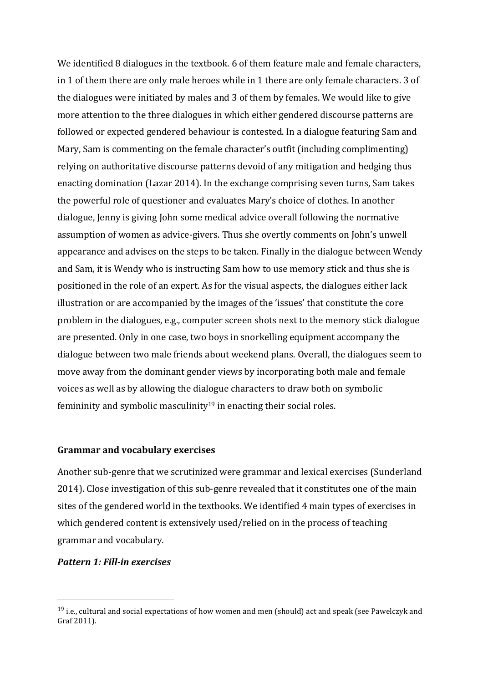We identified 8 dialogues in the textbook. 6 of them feature male and female characters, in 1 of them there are only male heroes while in 1 there are only female characters. 3 of the dialogues were initiated by males and 3 of them by females. We would like to give more attention to the three dialogues in which either gendered discourse patterns are followed or expected gendered behaviour is contested. In a dialogue featuring Sam and Mary, Sam is commenting on the female character's outfit (including complimenting) relying on authoritative discourse patterns devoid of any mitigation and hedging thus enacting domination (Lazar 2014). In the exchange comprising seven turns, Sam takes the powerful role of questioner and evaluates Mary's choice of clothes. In another dialogue, Jenny is giving John some medical advice overall following the normative assumption of women as advice-givers. Thus she overtly comments on John's unwell appearance and advises on the steps to be taken. Finally in the dialogue between Wendy and Sam, it is Wendy who is instructing Sam how to use memory stick and thus she is positioned in the role of an expert. As for the visual aspects, the dialogues either lack illustration or are accompanied by the images of the 'issues' that constitute the core problem in the dialogues, e.g., computer screen shots next to the memory stick dialogue are presented. Only in one case, two boys in snorkelling equipment accompany the dialogue between two male friends about weekend plans. Overall, the dialogues seem to move away from the dominant gender views by incorporating both male and female voices as well as by allowing the dialogue characters to draw both on symbolic femininity and symbolic masculinity<sup>19</sup> in enacting their social roles.

### **Grammar and vocabulary exercises**

Another sub-genre that we scrutinized were grammar and lexical exercises (Sunderland 2014). Close investigation of this sub-genre revealed that it constitutes one of the main sites of the gendered world in the textbooks. We identified 4 main types of exercises in which gendered content is extensively used/relied on in the process of teaching grammar and vocabulary.

#### *Pattern 1: Fill-in exercises*

 $19$  i.e., cultural and social expectations of how women and men (should) act and speak (see Pawelczyk and Graf 2011).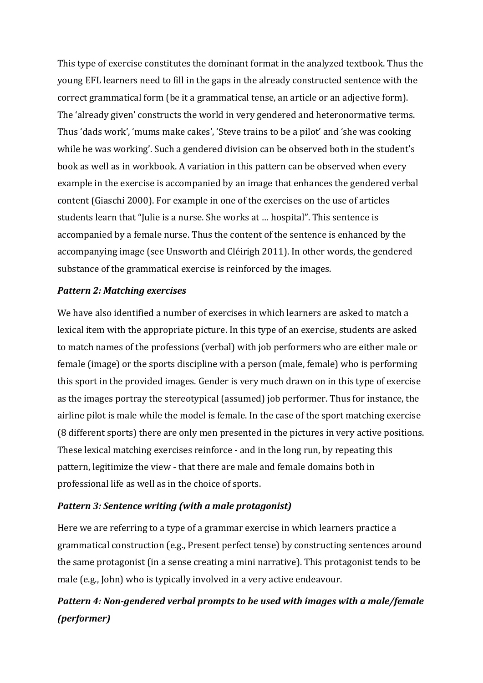This type of exercise constitutes the dominant format in the analyzed textbook. Thus the young EFL learners need to fill in the gaps in the already constructed sentence with the correct grammatical form (be it a grammatical tense, an article or an adjective form). The 'already given' constructs the world in very gendered and heteronormative terms. Thus 'dads work', 'mums make cakes', 'Steve trains to be a pilot' and 'she was cooking while he was working'. Such a gendered division can be observed both in the student's book as well as in workbook. A variation in this pattern can be observed when every example in the exercise is accompanied by an image that enhances the gendered verbal content (Giaschi 2000). For example in one of the exercises on the use of articles students learn that "Julie is a nurse. She works at ... hospital". This sentence is accompanied by a female nurse. Thus the content of the sentence is enhanced by the accompanying image (see Unsworth and Cléirigh 2011). In other words, the gendered substance of the grammatical exercise is reinforced by the images.

# *Pattern 2: Matching exercises*

We have also identified a number of exercises in which learners are asked to match a lexical item with the appropriate picture. In this type of an exercise, students are asked to match names of the professions (verbal) with job performers who are either male or female (image) or the sports discipline with a person (male, female) who is performing this sport in the provided images. Gender is very much drawn on in this type of exercise as the images portray the stereotypical (assumed) job performer. Thus for instance, the airline pilot is male while the model is female. In the case of the sport matching exercise (8 different sports) there are only men presented in the pictures in very active positions. These lexical matching exercises reinforce - and in the long run, by repeating this pattern, legitimize the view - that there are male and female domains both in professional life as well as in the choice of sports.

# **Pattern 3: Sentence writing (with a male protagonist)**

Here we are referring to a type of a grammar exercise in which learners practice a grammatical construction (e.g., Present perfect tense) by constructing sentences around the same protagonist (in a sense creating a mini narrative). This protagonist tends to be male (e.g., John) who is typically involved in a very active endeavour.

# **Pattern 4: Non-gendered verbal prompts to be used with images with a male/female** *(performer)*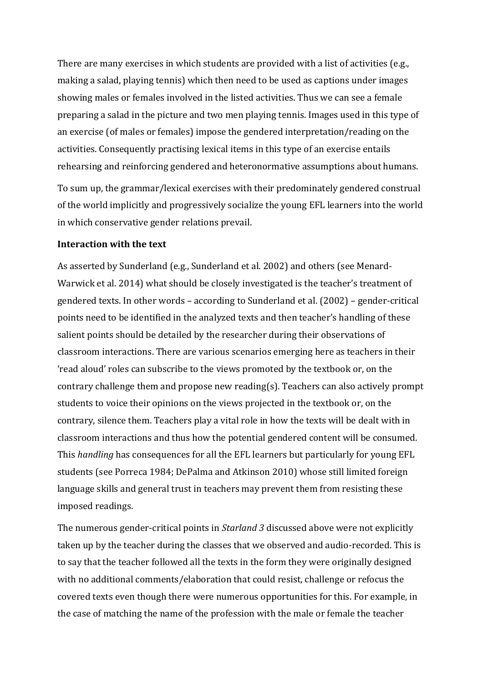There are many exercises in which students are provided with a list of activities (e.g., making a salad, playing tennis) which then need to be used as captions under images showing males or females involved in the listed activities. Thus we can see a female preparing a salad in the picture and two men playing tennis. Images used in this type of an exercise (of males or females) impose the gendered interpretation/reading on the activities. Consequently practising lexical items in this type of an exercise entails rehearsing and reinforcing gendered and heteronormative assumptions about humans.

To sum up, the grammar/lexical exercises with their predominately gendered construal of the world implicitly and progressively socialize the young EFL learners into the world in which conservative gender relations prevail.

### **Interaction with the text**

As asserted by Sunderland (e.g., Sunderland et al. 2002) and others (see Menard-Warwick et al. 2014) what should be closely investigated is the teacher's treatment of gendered texts. In other words – according to Sunderland et al.  $(2002)$  – gender-critical points need to be identified in the analyzed texts and then teacher's handling of these salient points should be detailed by the researcher during their observations of classroom interactions. There are various scenarios emerging here as teachers in their 'read aloud' roles can subscribe to the views promoted by the textbook or, on the contrary challenge them and propose new reading(s). Teachers can also actively prompt students to voice their opinions on the views projected in the textbook or, on the contrary, silence them. Teachers play a vital role in how the texts will be dealt with in classroom interactions and thus how the potential gendered content will be consumed. This *handling* has consequences for all the EFL learners but particularly for young EFL students (see Porreca 1984; DePalma and Atkinson 2010) whose still limited foreign language skills and general trust in teachers may prevent them from resisting these imposed readings.

The numerous gender-critical points in *Starland 3* discussed above were not explicitly taken up by the teacher during the classes that we observed and audio-recorded. This is to say that the teacher followed all the texts in the form they were originally designed with no additional comments/elaboration that could resist, challenge or refocus the covered texts even though there were numerous opportunities for this. For example, in the case of matching the name of the profession with the male or female the teacher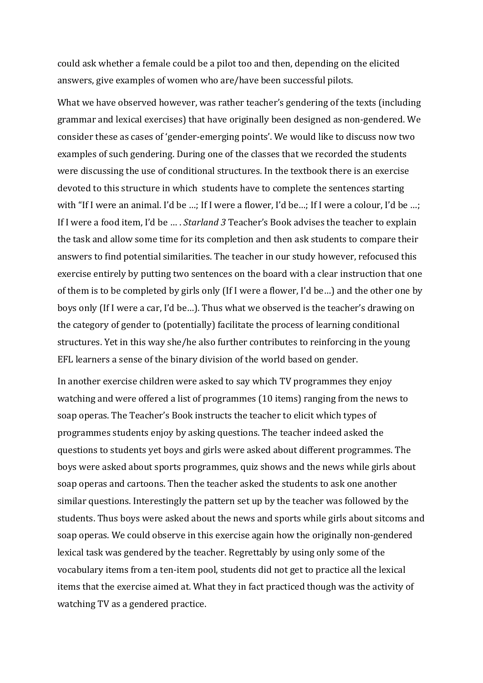could ask whether a female could be a pilot too and then, depending on the elicited answers, give examples of women who are/have been successful pilots.

What we have observed however, was rather teacher's gendering of the texts (including grammar and lexical exercises) that have originally been designed as non-gendered. We consider these as cases of 'gender-emerging points'. We would like to discuss now two examples of such gendering. During one of the classes that we recorded the students were discussing the use of conditional structures. In the textbook there is an exercise devoted to this structure in which students have to complete the sentences starting with "If I were an animal. I'd be ...; If I were a flower, I'd be...; If I were a colour, I'd be ...; If I were a food item, I'd be ... . *Starland 3* Teacher's Book advises the teacher to explain the task and allow some time for its completion and then ask students to compare their answers to find potential similarities. The teacher in our study however, refocused this exercise entirely by putting two sentences on the board with a clear instruction that one of them is to be completed by girls only (If I were a flower, I'd be...) and the other one by boys only (If I were a car, I'd be...). Thus what we observed is the teacher's drawing on the category of gender to (potentially) facilitate the process of learning conditional structures. Yet in this way she/he also further contributes to reinforcing in the young EFL learners a sense of the binary division of the world based on gender.

In another exercise children were asked to say which TV programmes they enjoy watching and were offered a list of programmes (10 items) ranging from the news to soap operas. The Teacher's Book instructs the teacher to elicit which types of programmes students enjoy by asking questions. The teacher indeed asked the questions to students yet boys and girls were asked about different programmes. The boys were asked about sports programmes, quiz shows and the news while girls about soap operas and cartoons. Then the teacher asked the students to ask one another similar questions. Interestingly the pattern set up by the teacher was followed by the students. Thus boys were asked about the news and sports while girls about sitcoms and soap operas. We could observe in this exercise again how the originally non-gendered lexical task was gendered by the teacher. Regrettably by using only some of the vocabulary items from a ten-item pool, students did not get to practice all the lexical items that the exercise aimed at. What they in fact practiced though was the activity of watching TV as a gendered practice.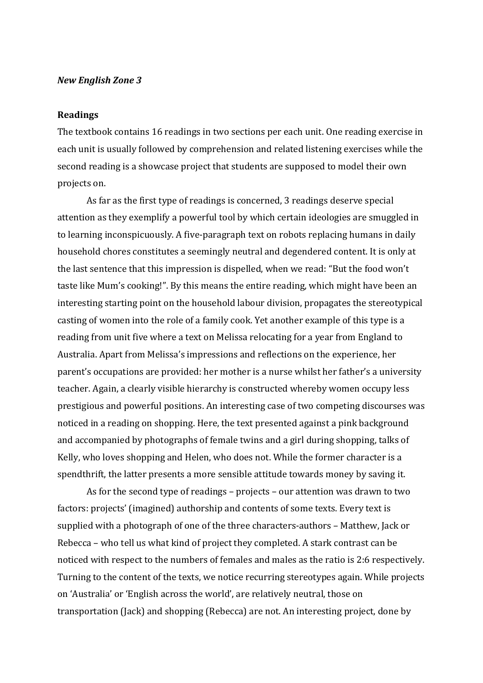#### *New English Zone 3*

#### **Readings**

The textbook contains 16 readings in two sections per each unit. One reading exercise in each unit is usually followed by comprehension and related listening exercises while the second reading is a showcase project that students are supposed to model their own projects on.

As far as the first type of readings is concerned, 3 readings deserve special attention as they exemplify a powerful tool by which certain ideologies are smuggled in to learning inconspicuously. A five-paragraph text on robots replacing humans in daily household chores constitutes a seemingly neutral and degendered content. It is only at the last sentence that this impression is dispelled, when we read: "But the food won't taste like Mum's cooking!". By this means the entire reading, which might have been an interesting starting point on the household labour division, propagates the stereotypical casting of women into the role of a family cook. Yet another example of this type is a reading from unit five where a text on Melissa relocating for a year from England to Australia. Apart from Melissa's impressions and reflections on the experience, her parent's occupations are provided: her mother is a nurse whilst her father's a university teacher. Again, a clearly visible hierarchy is constructed whereby women occupy less prestigious and powerful positions. An interesting case of two competing discourses was noticed in a reading on shopping. Here, the text presented against a pink background and accompanied by photographs of female twins and a girl during shopping, talks of Kelly, who loves shopping and Helen, who does not. While the former character is a spendthrift, the latter presents a more sensible attitude towards money by saving it.

As for the second type of readings  $-$  projects  $-$  our attention was drawn to two factors: projects' (imagined) authorship and contents of some texts. Every text is supplied with a photograph of one of the three characters-authors – Matthew, Jack or Rebecca – who tell us what kind of project they completed. A stark contrast can be noticed with respect to the numbers of females and males as the ratio is 2:6 respectively. Turning to the content of the texts, we notice recurring stereotypes again. While projects on 'Australia' or 'English across the world', are relatively neutral, those on transportation (Jack) and shopping (Rebecca) are not. An interesting project, done by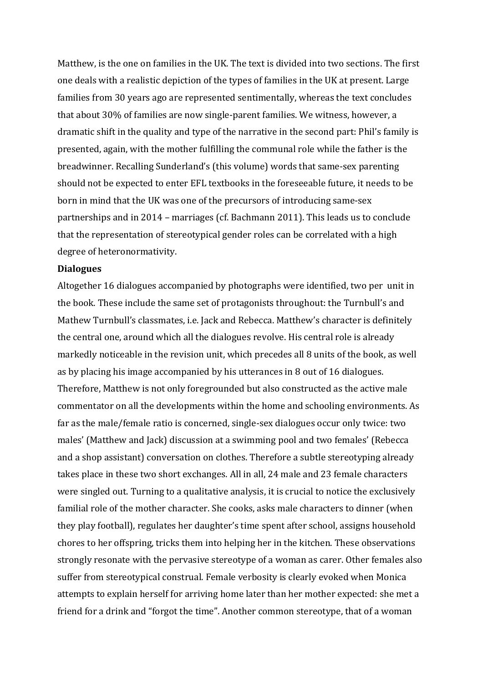Matthew, is the one on families in the UK. The text is divided into two sections. The first one deals with a realistic depiction of the types of families in the UK at present. Large families from 30 years ago are represented sentimentally, whereas the text concludes that about 30% of families are now single-parent families. We witness, however, a dramatic shift in the quality and type of the narrative in the second part: Phil's family is presented, again, with the mother fulfilling the communal role while the father is the breadwinner. Recalling Sunderland's (this volume) words that same-sex parenting should not be expected to enter EFL textbooks in the foreseeable future, it needs to be born in mind that the UK was one of the precursors of introducing same-sex partnerships and in 2014 – marriages (cf. Bachmann 2011). This leads us to conclude that the representation of stereotypical gender roles can be correlated with a high degree of heteronormativity.

#### **Dialogues**

Altogether 16 dialogues accompanied by photographs were identified, two per unit in the book. These include the same set of protagonists throughout: the Turnbull's and Mathew Turnbull's classmates, i.e. Jack and Rebecca. Matthew's character is definitely the central one, around which all the dialogues revolve. His central role is already markedly noticeable in the revision unit, which precedes all 8 units of the book, as well as by placing his image accompanied by his utterances in 8 out of 16 dialogues. Therefore, Matthew is not only foregrounded but also constructed as the active male commentator on all the developments within the home and schooling environments. As far as the male/female ratio is concerned, single-sex dialogues occur only twice: two males' (Matthew and Jack) discussion at a swimming pool and two females' (Rebecca and a shop assistant) conversation on clothes. Therefore a subtle stereotyping already takes place in these two short exchanges. All in all, 24 male and 23 female characters were singled out. Turning to a qualitative analysis, it is crucial to notice the exclusively familial role of the mother character. She cooks, asks male characters to dinner (when they play football), regulates her daughter's time spent after school, assigns household chores to her offspring, tricks them into helping her in the kitchen. These observations strongly resonate with the pervasive stereotype of a woman as carer. Other females also suffer from stereotypical construal. Female verbosity is clearly evoked when Monica attempts to explain herself for arriving home later than her mother expected: she met a friend for a drink and "forgot the time". Another common stereotype, that of a woman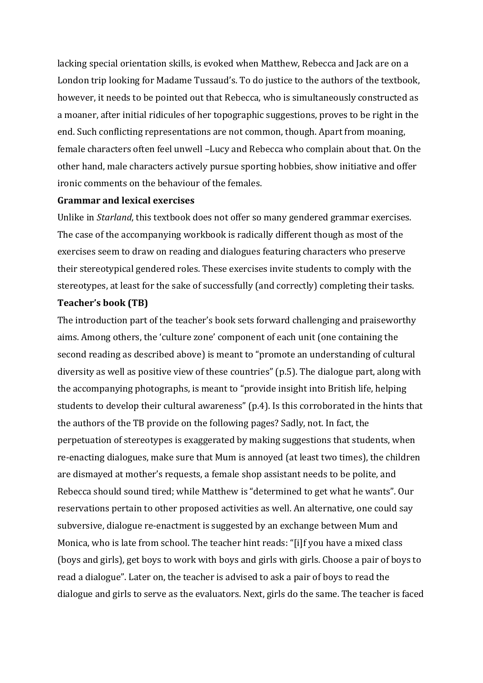lacking special orientation skills, is evoked when Matthew, Rebecca and Jack are on a London trip looking for Madame Tussaud's. To do justice to the authors of the textbook, however, it needs to be pointed out that Rebecca, who is simultaneously constructed as a moaner, after initial ridicules of her topographic suggestions, proves to be right in the end. Such conflicting representations are not common, though. Apart from moaning, female characters often feel unwell -Lucy and Rebecca who complain about that. On the other hand, male characters actively pursue sporting hobbies, show initiative and offer ironic comments on the behaviour of the females.

### **Grammar and lexical exercises**

Unlike in *Starland*, this textbook does not offer so many gendered grammar exercises. The case of the accompanying workbook is radically different though as most of the exercises seem to draw on reading and dialogues featuring characters who preserve their stereotypical gendered roles. These exercises invite students to comply with the stereotypes, at least for the sake of successfully (and correctly) completing their tasks.

### **Teacher's book (TB)**

The introduction part of the teacher's book sets forward challenging and praiseworthy aims. Among others, the 'culture zone' component of each unit (one containing the second reading as described above) is meant to "promote an understanding of cultural diversity as well as positive view of these countries"  $(p.5)$ . The dialogue part, along with the accompanying photographs, is meant to "provide insight into British life, helping students to develop their cultural awareness" (p.4). Is this corroborated in the hints that the authors of the TB provide on the following pages? Sadly, not. In fact, the perpetuation of stereotypes is exaggerated by making suggestions that students, when re-enacting dialogues, make sure that Mum is annoyed (at least two times), the children are dismayed at mother's requests, a female shop assistant needs to be polite, and Rebecca should sound tired; while Matthew is "determined to get what he wants". Our reservations pertain to other proposed activities as well. An alternative, one could say subversive, dialogue re-enactment is suggested by an exchange between Mum and Monica, who is late from school. The teacher hint reads: "[i]f you have a mixed class (boys and girls), get boys to work with boys and girls with girls. Choose a pair of boys to read a dialogue". Later on, the teacher is advised to ask a pair of boys to read the dialogue and girls to serve as the evaluators. Next, girls do the same. The teacher is faced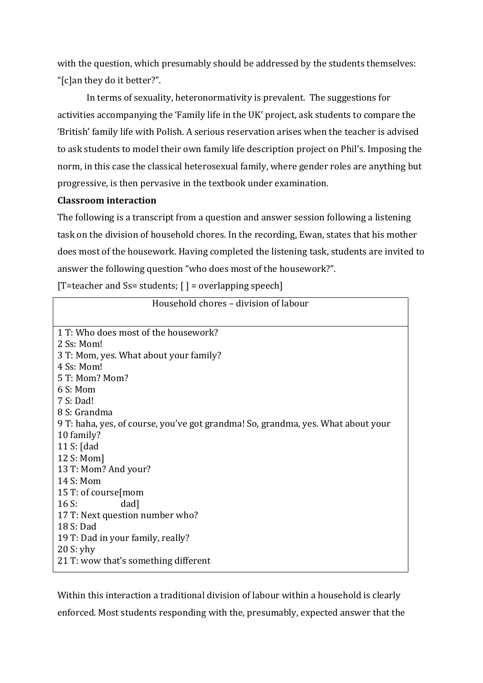with the question, which presumably should be addressed by the students themselves: "[c]an they do it better?".

In terms of sexuality, heteronormativity is prevalent. The suggestions for activities accompanying the 'Family life in the UK' project, ask students to compare the 'British' family life with Polish. A serious reservation arises when the teacher is advised to ask students to model their own family life description project on Phil's. Imposing the norm, in this case the classical heterosexual family, where gender roles are anything but progressive, is then pervasive in the textbook under examination.

# **Classroom interaction**

The following is a transcript from a question and answer session following a listening task on the division of household chores. In the recording, Ewan, states that his mother does most of the housework. Having completed the listening task, students are invited to answer the following question "who does most of the housework?".

[T=teacher and Ss= students;  $[$  ] = overlapping speech]

| Household chores - division of labour                                            |
|----------------------------------------------------------------------------------|
|                                                                                  |
| 1 T: Who does most of the housework?                                             |
| 2 Ss: Mom!                                                                       |
| 3 T: Mom, yes. What about your family?                                           |
| 4 Ss: Mom!                                                                       |
| 5 T: Mom? Mom?                                                                   |
| 6 S: Mom                                                                         |
| 7 S: Dad!                                                                        |
| 8 S: Grandma                                                                     |
| 9 T: haha, yes, of course, you've got grandma! So, grandma, yes. What about your |
| 10 family?                                                                       |
| 11 S: $\lceil$ dad                                                               |
| 12 S: Mom]                                                                       |
| 13 T: Mom? And your?                                                             |
| 14 S: Mom                                                                        |
| 15 T: of course [mom                                                             |
| $16S$ :<br>dad]                                                                  |
| 17 T: Next question number who?                                                  |
| 18 S: Dad                                                                        |
| 19 T: Dad in your family, really?                                                |
| 20 S: yhy                                                                        |
| 21 T: wow that's something different                                             |

Within this interaction a traditional division of labour within a household is clearly enforced. Most students responding with the, presumably, expected answer that the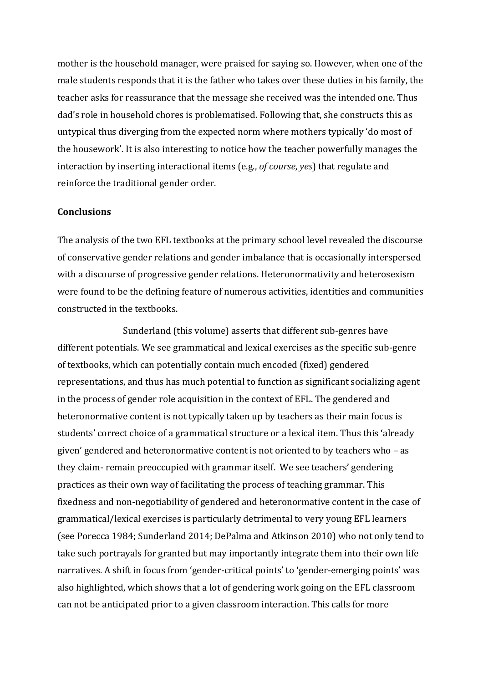mother is the household manager, were praised for saying so. However, when one of the male students responds that it is the father who takes over these duties in his family, the teacher asks for reassurance that the message she received was the intended one. Thus dad's role in household chores is problematised. Following that, she constructs this as untypical thus diverging from the expected norm where mothers typically 'do most of the housework'. It is also interesting to notice how the teacher powerfully manages the interaction by inserting interactional items (e.g., *of course*, *yes*) that regulate and reinforce the traditional gender order.

### **Conclusions**

The analysis of the two EFL textbooks at the primary school level revealed the discourse of conservative gender relations and gender imbalance that is occasionally interspersed with a discourse of progressive gender relations. Heteronormativity and heterosexism were found to be the defining feature of numerous activities, identities and communities constructed in the textbooks.

Sunderland (this volume) asserts that different sub-genres have different potentials. We see grammatical and lexical exercises as the specific sub-genre of textbooks, which can potentially contain much encoded (fixed) gendered representations, and thus has much potential to function as significant socializing agent in the process of gender role acquisition in the context of EFL. The gendered and heteronormative content is not typically taken up by teachers as their main focus is students' correct choice of a grammatical structure or a lexical item. Thus this 'already given' gendered and heteronormative content is not oriented to by teachers who  $-$  as they claim- remain preoccupied with grammar itself. We see teachers' gendering practices as their own way of facilitating the process of teaching grammar. This fixedness and non-negotiability of gendered and heteronormative content in the case of grammatical/lexical exercises is particularly detrimental to very young EFL learners (see Porecca 1984; Sunderland 2014; DePalma and Atkinson 2010) who not only tend to take such portrayals for granted but may importantly integrate them into their own life narratives. A shift in focus from 'gender-critical points' to 'gender-emerging points' was also highlighted, which shows that a lot of gendering work going on the EFL classroom can not be anticipated prior to a given classroom interaction. This calls for more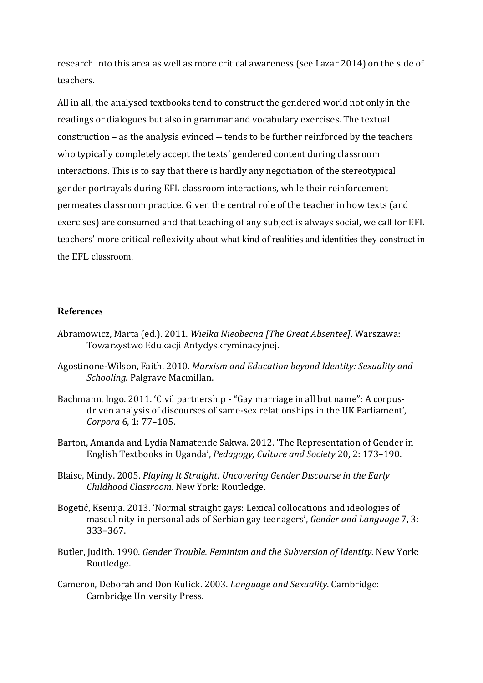research into this area as well as more critical awareness (see Lazar 2014) on the side of teachers. 

All in all, the analysed textbooks tend to construct the gendered world not only in the readings or dialogues but also in grammar and vocabulary exercises. The textual construction – as the analysis evinced -- tends to be further reinforced by the teachers who typically completely accept the texts' gendered content during classroom interactions. This is to say that there is hardly any negotiation of the stereotypical gender portrayals during EFL classroom interactions, while their reinforcement permeates classroom practice. Given the central role of the teacher in how texts (and exercises) are consumed and that teaching of any subject is always social, we call for EFL teachers' more critical reflexivity about what kind of realities and identities they construct in the EFL classroom.

### **References**

- Abramowicz, Marta (ed.). 2011. *Wielka Nieobecna [The Great Absentee]*. Warszawa: Towarzystwo Edukacji Antydyskryminacyjnej.
- Agostinone-Wilson, Faith. 2010. Marxism and Education beyond Identity: Sexuality and **Schooling. Palgrave Macmillan.**
- Bachmann, Ingo. 2011. 'Civil partnership "Gay marriage in all but name": A corpusdriven analysis of discourses of same-sex relationships in the UK Parliament', *Corpora* 6, 1: 77-105.
- Barton, Amanda and Lydia Namatende Sakwa. 2012. 'The Representation of Gender in English Textbooks in Uganda', *Pedagogy, Culture and Society* 20, 2: 173–190.
- Blaise, Mindy. 2005. *Playing It Straight: Uncovering Gender Discourse in the Early Childhood Classroom*. New York: Routledge.
- Bogetić, Ksenija. 2013. 'Normal straight gays: Lexical collocations and ideologies of masculinity in personal ads of Serbian gay teenagers', *Gender and Language* 7, 3: 333–367.
- Butler, Judith. 1990. *Gender Trouble. Feminism and the Subversion of Identity.* New York: Routledge.
- Cameron, Deborah and Don Kulick. 2003. *Language and Sexuality*. Cambridge: Cambridge University Press.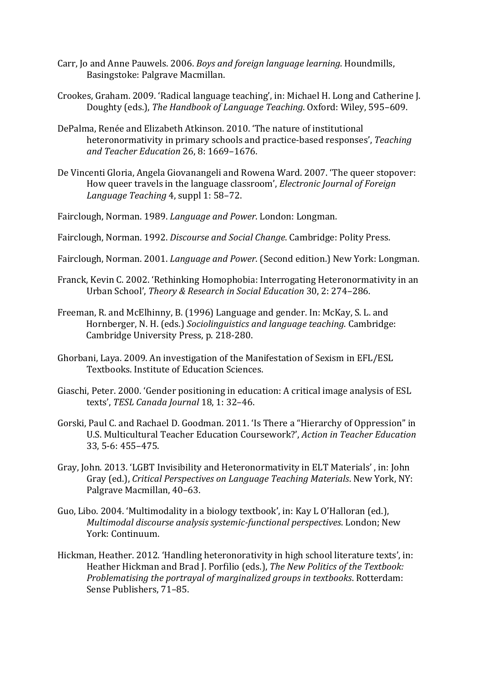- Carr, Jo and Anne Pauwels. 2006. *Boys and foreign language learning*. Houndmills, Basingstoke: Palgrave Macmillan.
- Crookes, Graham. 2009. 'Radical language teaching', in: Michael H. Long and Catherine J. Doughty (eds.), *The Handbook of Language Teaching*. Oxford: Wiley, 595-609.
- DePalma, Renée and Elizabeth Atkinson. 2010. 'The nature of institutional heteronormativity in primary schools and practice-based responses', *Teaching and Teacher Education* 26, 8: 1669–1676.
- De Vincenti Gloria, Angela Giovanangeli and Rowena Ward. 2007. 'The queer stopover: How queer travels in the language classroom', *Electronic Journal of Foreign Language Teaching* 4, suppl 1: 58–72.
- Fairclough, Norman. 1989. *Language and Power*. London: Longman.
- Fairclough, Norman. 1992. *Discourse and Social Change*. Cambridge: Polity Press.
- Fairclough, Norman. 2001. *Language and Power*. (Second edition.) New York: Longman.
- Franck, Kevin C. 2002. 'Rethinking Homophobia: Interrogating Heteronormativity in an Urban School', *Theory & Research in Social Education* 30, 2: 274–286.
- Freeman, R. and McElhinny, B. (1996) Language and gender. In: McKay, S. L. and Hornberger, N. H. (eds.) *Sociolinguistics and language teaching*. Cambridge: Cambridge University Press, p. 218-280.
- Ghorbani, Laya. 2009. An investigation of the Manifestation of Sexism in EFL/ESL Textbooks. Institute of Education Sciences.
- Giaschi, Peter. 2000. 'Gender positioning in education: A critical image analysis of ESL texts', TESL Canada Journal 18, 1: 32-46.
- Gorski, Paul C. and Rachael D. Goodman. 2011. 'Is There a "Hierarchy of Oppression" in U.S. Multicultural Teacher Education Coursework?', *Action in Teacher Education* 33, 5-6: 455–475.
- Gray, John. 2013. 'LGBT Invisibility and Heteronormativity in ELT Materials', in: John Gray (ed.), *Critical Perspectives on Language Teaching Materials*. New York, NY: Palgrave Macmillan, 40-63.
- Guo, Libo. 2004. 'Multimodality in a biology textbook', in: Kay L O'Halloran (ed.), *Multimodal discourse analysis systemic-functional perspectives.* London; New York: Continuum.
- Hickman, Heather. 2012. 'Handling heteronorativity in high school literature texts', in: Heather Hickman and Brad J. Porfilio (eds.), *The New Politics of the Textbook: Problematising the portrayal of marginalized groups in textbooks.* Rotterdam: Sense Publishers, 71-85.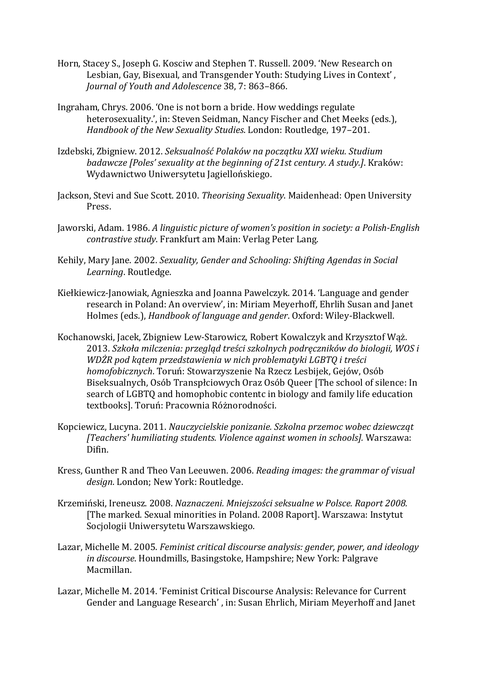- Horn, Stacey S., Joseph G. Kosciw and Stephen T. Russell. 2009. 'New Research on Lesbian, Gay, Bisexual, and Transgender Youth: Studying Lives in Context', *Journal of Youth and Adolescence* 38, 7: 863–866.
- Ingraham, Chrys. 2006. 'One is not born a bride. How weddings regulate heterosexuality.', in: Steven Seidman, Nancy Fischer and Chet Meeks (eds.), Handbook of the New Sexuality Studies. London: Routledge, 197-201.
- Izdebski, Zbigniew. 2012. Seksualność Polaków na początku XXI wieku. Studium *badawcze* [Poles' sexuality at the beginning of 21st century. A study.]. Kraków: Wydawnictwo Uniwersytetu Jagiellońskiego.
- Jackson, Stevi and Sue Scott. 2010. *Theorising Sexuality*. Maidenhead: Open University Press.
- Jaworski, Adam. 1986. A linguistic picture of women's position in society: a Polish-English *contrastive study*. Frankfurt am Main: Verlag Peter Lang.
- Kehily, Mary Jane. 2002. *Sexuality, Gender and Schooling: Shifting Agendas in Social Learning*. Routledge.
- Kiełkiewicz-Janowiak, Agnieszka and Joanna Pawelczyk. 2014. 'Language and gender research in Poland: An overview', in: Miriam Meyerhoff, Ehrlih Susan and Janet Holmes (eds.), *Handbook of language and gender*. Oxford: Wiley-Blackwell.
- Kochanowski, Jacek, Zbigniew Lew-Starowicz, Robert Kowalczyk and Krzysztof Waż. 2013. Szkoła milczenia: przegląd treści szkolnych podręczników do biologii, WOS i *WDŻR pod katem przedstawienia w nich problematyki LGBTO i treści homofobicznych*. Toruń: Stowarzyszenie Na Rzecz Lesbijek, Gejów, Osób Biseksualnych, Osób Transpłciowych Oraz Osób Queer [The school of silence: In search of LGBTQ and homophobic contentc in biology and family life education textbooks]. Toruń: Pracownia Różnorodności.
- Kopciewicz, Lucyna. 2011. *Nauczycielskie ponizanie. Szkolna przemoc wobec dziewcząt [Teachers' humiliating students. Violence against women in schools].* Warszawa: Difin.
- Kress, Gunther R and Theo Van Leeuwen. 2006. *Reading images: the grammar of visual* design. London; New York: Routledge.
- Krzemiński, Ireneusz. 2008. Naznaczeni. Mniejszości seksualne w Polsce. Raport 2008. [The marked. Sexual minorities in Poland. 2008 Raport]. Warszawa: Instytut Socjologii Uniwersytetu Warszawskiego.
- Lazar, Michelle M. 2005. *Feminist critical discourse analysis: gender, power, and ideology* in discourse. Houndmills, Basingstoke, Hampshire; New York: Palgrave Macmillan.
- Lazar, Michelle M. 2014. 'Feminist Critical Discourse Analysis: Relevance for Current Gender and Language Research', in: Susan Ehrlich, Miriam Meyerhoff and Janet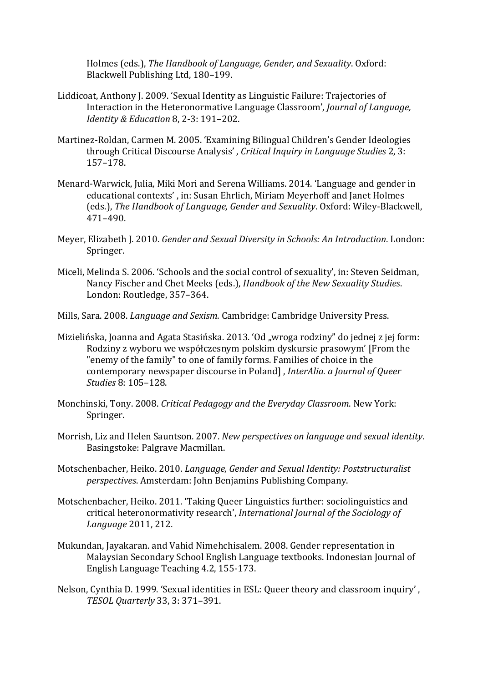Holmes (eds.), The Handbook of Language, Gender, and Sexuality. Oxford: Blackwell Publishing Ltd, 180-199.

- Liddicoat, Anthony J. 2009. 'Sexual Identity as Linguistic Failure: Trajectories of Interaction in the Heteronormative Language Classroom', *Journal of Language*, *Identity & Education 8, 2-3: 191-202.*
- Martinez-Roldan, Carmen M. 2005. 'Examining Bilingual Children's Gender Ideologies through Critical Discourse Analysis', *Critical Inquiry in Language Studies* 2, 3: 157–178.
- Menard-Warwick, Julia, Miki Mori and Serena Williams. 2014. 'Language and gender in educational contexts', in: Susan Ehrlich, Miriam Meyerhoff and Janet Holmes (eds.), The Handbook of Language, Gender and Sexuality. Oxford: Wiley-Blackwell, 471–490.
- Meyer, Elizabeth J. 2010. *Gender and Sexual Diversity in Schools: An Introduction*. London: Springer.
- Miceli, Melinda S. 2006. 'Schools and the social control of sexuality', in: Steven Seidman, Nancy Fischer and Chet Meeks (eds.), *Handbook of the New Sexuality Studies*. London: Routledge, 357-364.
- Mills, Sara. 2008. *Language and Sexism*. Cambridge: Cambridge University Press.
- Mizielińska, Joanna and Agata Stasińska. 2013. 'Od "wroga rodziny" do jednej z jej form: Rodziny z wyboru we współczesnym polskim dyskursie prasowym' [From the "enemy of the family" to one of family forms. Families of choice in the contemporary newspaper discourse in Poland], *InterAlia. a Journal of Queer Studies* 8: 105–128.
- Monchinski, Tony. 2008. *Critical Pedagogy and the Everyday Classroom*. New York: Springer.
- Morrish, Liz and Helen Sauntson. 2007. *New perspectives on language and sexual identity*. Basingstoke: Palgrave Macmillan.
- Motschenbacher, Heiko. 2010. *Language, Gender and Sexual Identity: Poststructuralist perspectives*. Amsterdam: John Benjamins Publishing Company.
- Motschenbacher, Heiko. 2011. 'Taking Queer Linguistics further: sociolinguistics and critical heteronormativity research', *International Journal of the Sociology of Language* 2011, 212.
- Mukundan, Jayakaran. and Vahid Nimehchisalem. 2008. Gender representation in Malaysian Secondary School English Language textbooks. Indonesian Journal of English Language Teaching 4.2, 155-173.
- Nelson, Cynthia D. 1999. 'Sexual identities in ESL: Queer theory and classroom inquiry', *TESOL Quarterly* 33, 3: 371–391.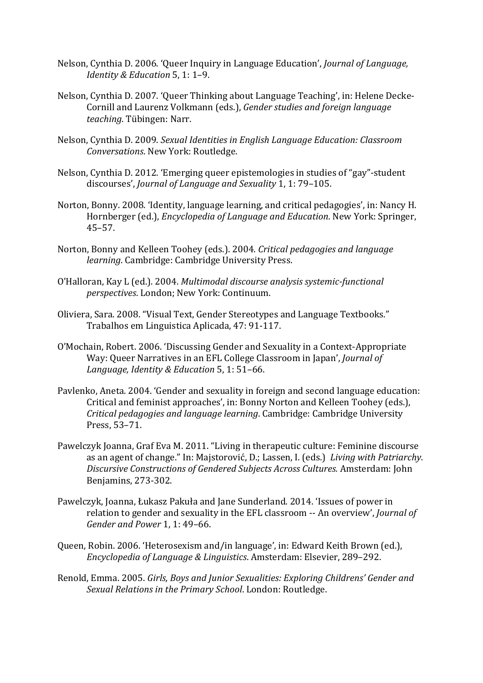- Nelson, Cynthia D. 2006. 'Queer Inquiry in Language Education', *Journal of Language*, *Identity & Education* 5, 1: 1-9.
- Nelson, Cynthia D. 2007. 'Queer Thinking about Language Teaching', in: Helene Decke-Cornill and Laurenz Volkmann (eds.), *Gender studies and foreign language teaching*. Tübingen: Narr.
- Nelson, Cynthia D. 2009. *Sexual Identities in English Language Education: Classroom Conversations*. New York: Routledge.
- Nelson, Cynthia D. 2012. 'Emerging queer epistemologies in studies of "gay"-student discourses', *Journal of Language and Sexuality* 1, 1: 79-105.
- Norton, Bonny. 2008. 'Identity, language learning, and critical pedagogies', in: Nancy H. Hornberger (ed.), *Encyclopedia of Language and Education*. New York: Springer, 45–57.
- Norton, Bonny and Kelleen Toohey (eds.). 2004. *Critical pedagogies and language* learning. Cambridge: Cambridge University Press.
- O'Halloran, Kay L (ed.). 2004. *Multimodal discourse analysis systemic-functional perspectives*. London; New York: Continuum.
- Oliviera, Sara. 2008. "Visual Text, Gender Stereotypes and Language Textbooks." Trabalhos em Linguistica Aplicada, 47: 91-117.
- O'Mochain, Robert. 2006. 'Discussing Gender and Sexuality in a Context-Appropriate Way: Queer Narratives in an EFL College Classroom in Japan', *Journal of Language, Identity & Education* 5, 1: 51–66.
- Pavlenko, Aneta. 2004. 'Gender and sexuality in foreign and second language education: Critical and feminist approaches', in: Bonny Norton and Kelleen Toohey (eds.), *Critical pedagogies and language learning.* Cambridge: Cambridge University Press, 53–71.
- Pawelczyk Joanna, Graf Eva M. 2011. "Living in therapeutic culture: Feminine discourse as an agent of change." In: Majstorović, D.: Lassen, I. (eds.) *Living with Patriarchy. Discursive Constructions of Gendered Subjects Across Cultures.* Amsterdam: John Benjamins, 273-302.
- Pawelczyk, Joanna, Łukasz Pakuła and Jane Sunderland. 2014. 'Issues of power in relation to gender and sexuality in the EFL classroom -- An overview', *Journal of* Gender and Power 1, 1: 49-66.
- Queen, Robin. 2006. 'Heterosexism and/in language', in: Edward Keith Brown (ed.), *Encyclopedia of Language & Linguistics*. Amsterdam: Elsevier, 289–292.
- Renold, Emma. 2005. *Girls, Boys and Junior Sexualities: Exploring Childrens' Gender and* Sexual Relations in the Primary School. London: Routledge.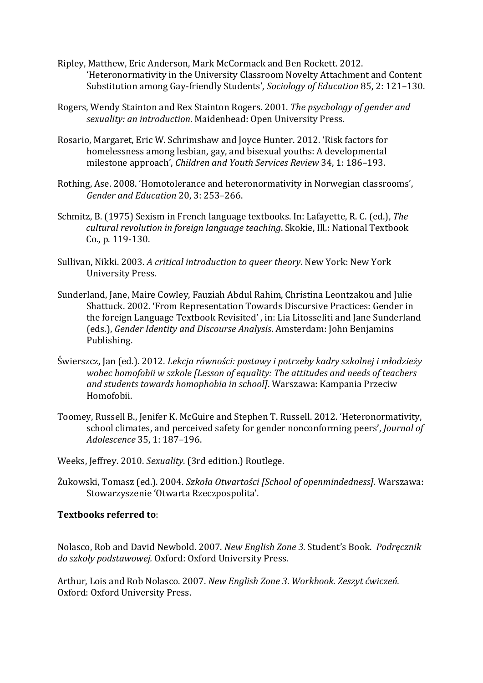- Ripley, Matthew, Eric Anderson, Mark McCormack and Ben Rockett. 2012. 'Heteronormativity in the University Classroom Novelty Attachment and Content Substitution among Gay-friendly Students', *Sociology of Education* 85, 2: 121–130.
- Rogers, Wendy Stainton and Rex Stainton Rogers. 2001. *The psychology of gender and* sexuality: an introduction. Maidenhead: Open University Press.
- Rosario, Margaret, Eric W. Schrimshaw and Joyce Hunter, 2012. 'Risk factors for homelessness among lesbian, gay, and bisexual youths: A developmental milestone approach', *Children and Youth Services Review* 34, 1: 186-193.
- Rothing, Ase. 2008. 'Homotolerance and heteronormativity in Norwegian classrooms', *Gender and Education* 20, 3: 253–266.
- Schmitz, B. (1975) Sexism in French language textbooks. In: Lafayette, R. C. (ed.), *The cultural revolution in foreign language teaching.* Skokie, Ill.: National Textbook Co., p. 119-130.
- Sullivan, Nikki. 2003. *A critical introduction to queer theory*. New York: New York University Press.
- Sunderland, Jane, Maire Cowley, Fauziah Abdul Rahim, Christina Leontzakou and Julie Shattuck. 2002. 'From Representation Towards Discursive Practices: Gender in the foreign Language Textbook Revisited', in: Lia Litosseliti and Jane Sunderland (eds.), *Gender Identity and Discourse Analysis*. Amsterdam: John Benjamins Publishing.
- Świerszcz, Jan (ed.). 2012. *Lekcja równości: postawy i potrzeby kadry szkolnej i młodzieży wobec homofobii w szkole [Lesson of equality: The attitudes and needs of teachers* and students towards homophobia in school]. Warszawa: Kampania Przeciw Homofobii.
- Toomey, Russell B., Jenifer K. McGuire and Stephen T. Russell. 2012. 'Heteronormativity, school climates, and perceived safety for gender nonconforming peers', *Journal of Adolescence* 35, 1: 187–196.
- Weeks, Jeffrey. 2010. *Sexuality*. (3rd edition.) Routlege.
- Żukowski, Tomasz (ed.). 2004. *Szkoła Otwartości [School of openmindedness]*. Warszawa: Stowarzyszenie 'Otwarta Rzeczpospolita'.

# **Textbooks referred to**:

Nolasco, Rob and David Newbold. 2007. *New English Zone 3*. Student's Book. Podrecznik do szkoły podstawowej. Oxford: Oxford University Press.

Arthur, Lois and Rob Nolasco. 2007. *New English Zone 3. Workbook. Zeszyt ćwiczeń.* Oxford: Oxford University Press.